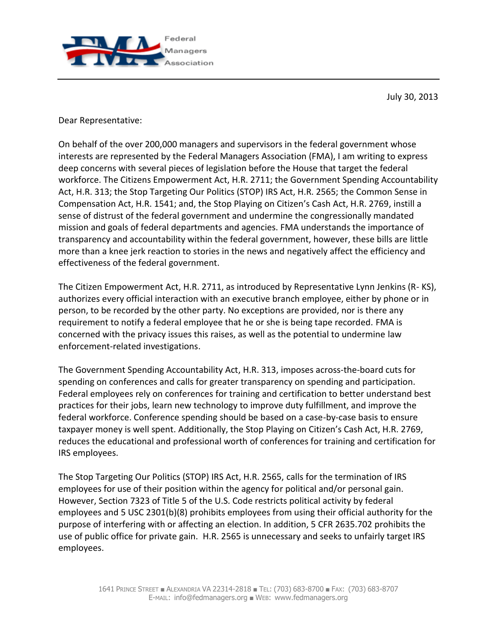

July 30, 2013

Dear Representative:

On behalf of the over 200,000 managers and supervisors in the federal government whose interests are represented by the Federal Managers Association (FMA), I am writing to express deep concerns with several pieces of legislation before the House that target the federal workforce. The Citizens Empowerment Act, H.R. 2711; the Government Spending Accountability Act, H.R. 313; the Stop Targeting Our Politics (STOP) IRS Act, H.R. 2565; the Common Sense in Compensation Act, H.R. 1541; and, the Stop Playing on Citizen's Cash Act, H.R. 2769, instill a sense of distrust of the federal government and undermine the congressionally mandated mission and goals of federal departments and agencies. FMA understands the importance of transparency and accountability within the federal government, however, these bills are little more than a knee jerk reaction to stories in the news and negatively affect the efficiency and effectiveness of the federal government.

The Citizen Empowerment Act, H.R. 2711, as introduced by Representative Lynn Jenkins (R- KS), authorizes every official interaction with an executive branch employee, either by phone or in person, to be recorded by the other party. No exceptions are provided, nor is there any requirement to notify a federal employee that he or she is being tape recorded. FMA is concerned with the privacy issues this raises, as well as the potential to undermine law enforcement-related investigations.

The Government Spending Accountability Act, H.R. 313, imposes across-the-board cuts for spending on conferences and calls for greater transparency on spending and participation. Federal employees rely on conferences for training and certification to better understand best practices for their jobs, learn new technology to improve duty fulfillment, and improve the federal workforce. Conference spending should be based on a case-by-case basis to ensure taxpayer money is well spent. Additionally, the Stop Playing on Citizen's Cash Act, H.R. 2769, reduces the educational and professional worth of conferences for training and certification for IRS employees.

The Stop Targeting Our Politics (STOP) IRS Act, H.R. 2565, calls for the termination of IRS employees for use of their position within the agency for political and/or personal gain. However, Section 7323 of Title 5 of the U.S. Code restricts political activity by federal employees and 5 USC 2301(b)(8) prohibits employees from using their official authority for the purpose of interfering with or affecting an election. In addition, 5 CFR 2635.702 prohibits the use of public office for private gain. H.R. 2565 is unnecessary and seeks to unfairly target IRS employees.